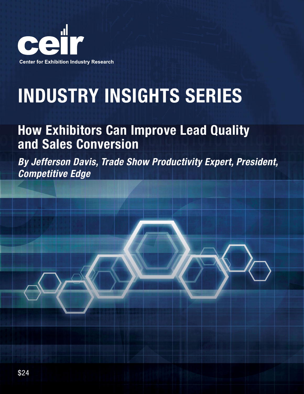

# INDUSTRY INSIGHTS SERIES

# How Exhibitors Can Improve Lead Quality and Sales Conversion

*By Jefferson Davis, Trade Show Productivity Expert, President, Competitive Edge*

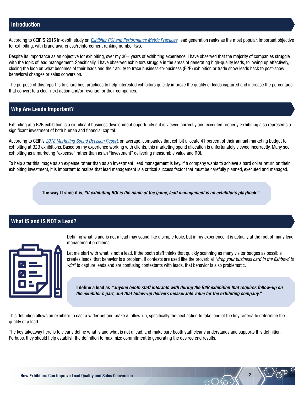# Introduction

According to CEIR'S 2015 in-depth study on *[Exhibitor ROI and Performance Metric Practices](https://www.ceir.org/products/2624)*, lead generation ranks as the most popular, important objective for exhibiting, with brand awareness/reinforcement ranking number two.

Despite its importance as an objective for exhibiting, over my 30+ years of exhibiting experience, I have observed that the majority of companies struggle with the topic of lead management. Specifically, I have observed exhibitors struggle in the areas of generating high-quality leads, following up effectively, closing the loop on what becomes of their leads and their ability to trace business-to-business (B2B) exhibition or trade show leads back to post-show behavioral changes or sales conversion.

The purpose of this report is to share best practices to help interested exhibitors quickly improve the quality of leads captured and increase the percentage that convert to a clear next action and/or revenue for their companies.

## Why Are Leads Important?

Exhibiting at a B2B exhibition is a significant business development opportunity if it is viewed correctly and executed properly. Exhibiting also represents a significant investment of both human and financial capital.

According to CEIR's *[2018 Marketing Spend Decision Report](https://www.ceir.org/products/2723)*, on average, companies that exhibit allocate 41 percent of their annual marketing budget to exhibiting at B2B exhibitions. Based on my experience working with clients, this marketing spend allocation is unfortunately viewed incorrectly. Many see exhibiting as a marketing "expense" rather than as an "investment" delivering measurable value and ROI.

To help alter this image as an expense rather than as an investment, lead management is key. If a company wants to achieve a hard dollar return on their exhibiting investment, it is important to realize that lead management is a critical success factor that must be carefully planned, executed and managed.

The way I frame it is, *"If exhibiting ROI is the name of the game, lead management is an exhibitor's playbook."*

# What IS and IS NOT a Lead?



Defining what is and is not a lead may sound like a simple topic, but in my experience, it is actually at the root of many lead management problems.

Let me start with what is not a lead. If the booth staff thinks that quickly scanning as many visitor badges as possible creates leads, that behavior is a problem. If contests are used like the proverbial *"drop your business card in the fishbowl to win"* to capture leads and are confusing contestants with leads, that behavior is also problematic.

I define a lead as *"anyone booth staff interacts with during the B2B exhibition that requires follow-up on the exhibitor's part, and that follow-up delivers measurable value for the exhibiting company."*

This definition allows an exhibitor to cast a wider net and make a follow-up, specifically the next action to take, one of the key criteria to determine the quality of a lead.

The key takeaway here is to clearly define what is and what is not a lead, and make sure booth staff clearly understands and supports this definition. Perhaps, they should help establish the definition to maximize commitment to generating the desired end results.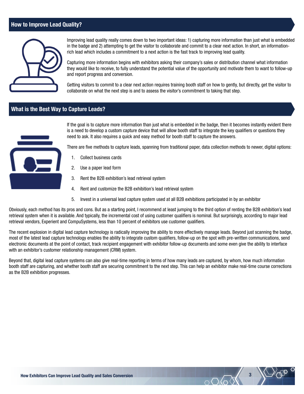# How to Improve Lead Quality?



Improving lead quality really comes down to two important ideas: 1) capturing more information than just what is embedded in the badge and 2) attempting to get the visitor to collaborate and commit to a clear next action. In short, an informationrich lead which includes a commitment to a next action is the fast track to improving lead quality.

Capturing more information begins with exhibitors asking their company's sales or distribution channel what information they would like to receive, to fully understand the potential value of the opportunity and motivate them to want to follow-up and report progress and conversion.

Getting visitors to commit to a clear next action requires training booth staff on how to gently, but directly, get the visitor to collaborate on what the next step is and to assess the visitor's commitment to taking that step.

#### What is the Best Way to Capture Leads?



If the goal is to capture more information than just what is embedded in the badge, then it becomes instantly evident there is a need to develop a custom capture device that will allow booth staff to integrate the key qualifiers or questions they need to ask. It also requires a quick and easy method for booth staff to capture the answers.

There are five methods to capture leads, spanning from traditional paper, data collection methods to newer, digital options:

- 1. Collect business cards
- 2. Use a paper lead form
- 3. Rent the B2B exhibition's lead retrieval system
- 4. Rent and customize the B2B exhibition's lead retrieval system
- 5. Invest in a universal lead capture system used at all B2B exhibitions participated in by an exhibitor

Obviously, each method has its pros and cons. But as a starting point, I recommend at least jumping to the third option of renting the B2B exhibition's lead retrieval system when it is available. And typically, the incremental cost of using customer qualifiers is nominal. But surprisingly, according to major lead retrieval vendors, Experient and CompuSystems, less than 10 percent of exhibitors use customer qualifiers.

The recent explosion in digital lead capture technology is radically improving the ability to more effectively manage leads. Beyond just scanning the badge, most of the latest lead capture technology enables the ability to integrate custom qualifiers, follow-up on the spot with pre-written communications, send electronic documents at the point of contact, track recipient engagement with exhibitor follow-up documents and some even give the ability to interface with an exhibitor's customer relationship management (CRM) system.

Beyond that, digital lead capture systems can also give real-time reporting in terms of how many leads are captured, by whom, how much information booth staff are capturing, and whether booth staff are securing commitment to the next step. This can help an exhibitor make real-time course corrections as the B2B exhibition progresses.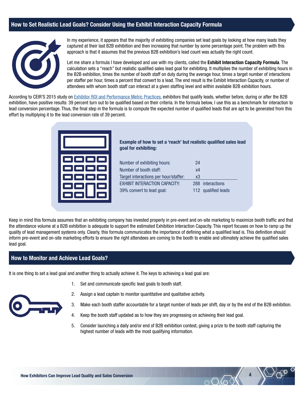# How to Set Realistic Lead Goals? Consider Using the Exhibit Interaction Capacity Formula



In my experience, it appears that the majority of exhibiting companies set lead goals by looking at how many leads they captured at their last B2B exhibition and then increasing that number by some percentage point. The problem with this approach is that it assumes that the previous B2B exhibition's lead count was actually the right count.

Let me share a formula I have developed and use with my clients, called the Exhibit Interaction Capacity Formula. The calculation sets a "reach" but realistic qualified sales lead goal for exhibiting. It multiplies the number of exhibiting hours in the B2B exhibition, times the number of booth staff on duty during the average hour, times a target number of interactions per staffer per hour, times a percent that convert to a lead. The end result is the Exhibit Interaction Capacity, or number of attendees with whom booth staff can interact at a given staffing level and within available B2B exhibition hours.

According to CEIR'S 2015 study on [Exhibitor ROI and Performance Metric Practices,](https://www.ceir.org/products/2624) exhibitors that qualify leads, whether before, during or after the B2B exhibition, have positive results: 39 percent turn out to be qualified based on their criteria. In the formula below, I use this as a benchmark for interaction to lead conversion percentage. Thus, the final step in the formula is to compute the expected number of qualified leads that are apt to be generated from this effort by multiplying it to the lead conversion rate of 39 percent.

| 0000<br>oo<br>$\Box$<br>C٦<br>$\Box$<br>m<br>一<br>$\Box$<br>œ<br>œ,<br>$\Box$<br><b>i</b> |
|-------------------------------------------------------------------------------------------|

Example of how to set a 'reach' but realistic qualified sales lead goal for exhibiting:

| Number of exhibiting hours:           | 24 |                     |
|---------------------------------------|----|---------------------|
| Number of booth staff:                | х4 |                     |
| Target interactions per hour/staffer: | x3 |                     |
| <b>EXHIBIT INTERACTION CAPACITY:</b>  |    | 288 interactions    |
| 39% convert to lead goal:             |    | 112 qualified leads |

Keep in mind this formula assumes that an exhibiting company has invested properly in pre-event and on-site marketing to maximize booth traffic and that the attendance volume at a B2B exhibition is adequate to support the estimated Exhibition Interaction Capacity. This report focuses on how to ramp up the quality of lead management systems only. Clearly, this formula communicates the importance of defining what a qualified lead is. This definition should inform pre-event and on-site marketing efforts to ensure the right attendees are coming to the booth to enable and ultimately achieve the qualified sales lead goal.

#### How to Monitor and Achieve Lead Goals?

It is one thing to set a lead goal and another thing to actually achieve it. The keys to achieving a lead goal are:

1. Set and communicate specific lead goals to booth staff.



- 2. Assign a lead captain to monitor quantitative and qualitative activity.
- 3. Make each booth staffer accountable for a target number of leads per shift, day or by the end of the B2B exhibition.
- 4. Keep the booth staff updated as to how they are progressing on achieving their lead goal.
- 5. Consider launching a daily and/or end of B2B exhibition contest, giving a prize to the booth staff capturing the highest number of leads with the most qualifying information.

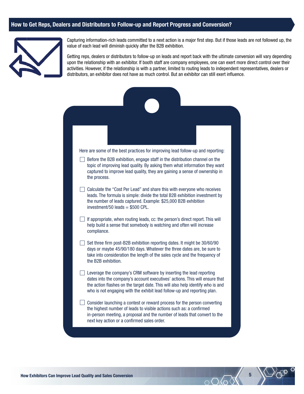### How to Get Reps, Dealers and Distributors to Follow-up and Report Progress and Conversion?



Capturing information-rich leads committed to a next action is a major first step. But if those leads are not followed up, the value of each lead will diminish quickly after the B2B exhibition.

Getting reps, dealers or distributors to follow-up on leads and report back with the ultimate conversion will vary depending upon the relationship with an exhibitor. If booth staff are company employees, one can exert more direct control over their activities. However, if the relationship is with a partner, limited to routing leads to independent representatives, dealers or distributors, an exhibitor does not have as much control. But an exhibitor can still exert influence.